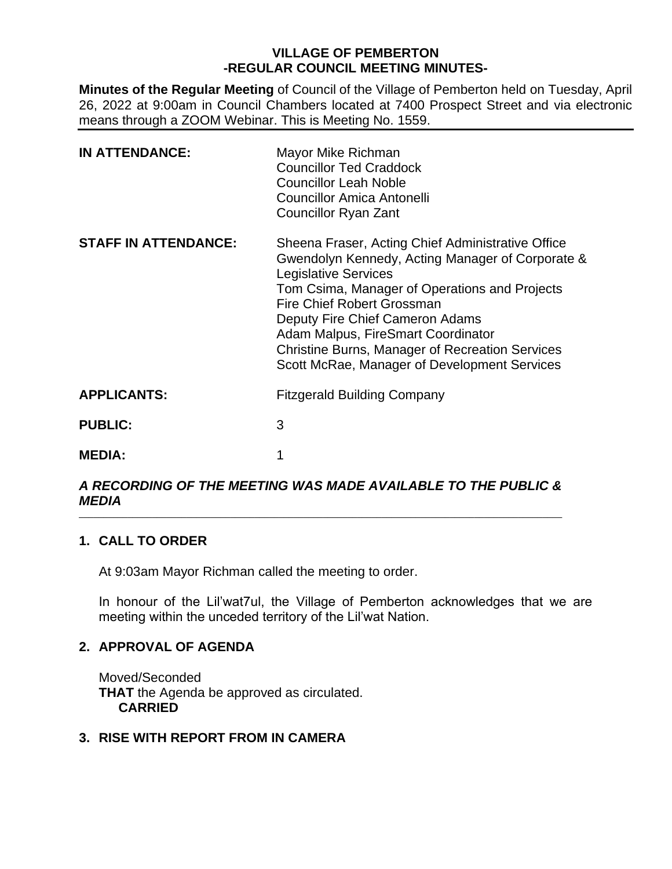# **VILLAGE OF PEMBERTON -REGULAR COUNCIL MEETING MINUTES-**

**Minutes of the Regular Meeting** of Council of the Village of Pemberton held on Tuesday, April 26, 2022 at 9:00am in Council Chambers located at 7400 Prospect Street and via electronic means through a ZOOM Webinar. This is Meeting No. 1559.

| <b>IN ATTENDANCE:</b>       | Mayor Mike Richman<br><b>Councillor Ted Craddock</b><br><b>Councillor Leah Noble</b><br><b>Councillor Amica Antonelli</b><br><b>Councillor Ryan Zant</b>                                                                                                                                                                                                                                               |
|-----------------------------|--------------------------------------------------------------------------------------------------------------------------------------------------------------------------------------------------------------------------------------------------------------------------------------------------------------------------------------------------------------------------------------------------------|
| <b>STAFF IN ATTENDANCE:</b> | Sheena Fraser, Acting Chief Administrative Office<br>Gwendolyn Kennedy, Acting Manager of Corporate &<br><b>Legislative Services</b><br>Tom Csima, Manager of Operations and Projects<br>Fire Chief Robert Grossman<br>Deputy Fire Chief Cameron Adams<br>Adam Malpus, FireSmart Coordinator<br><b>Christine Burns, Manager of Recreation Services</b><br>Scott McRae, Manager of Development Services |
| <b>APPLICANTS:</b>          | <b>Fitzgerald Building Company</b>                                                                                                                                                                                                                                                                                                                                                                     |
| <b>PUBLIC:</b>              | 3                                                                                                                                                                                                                                                                                                                                                                                                      |
| <b>MEDIA:</b>               | 1                                                                                                                                                                                                                                                                                                                                                                                                      |

#### *A RECORDING OF THE MEETING WAS MADE AVAILABLE TO THE PUBLIC & MEDIA*  $\_$  ,  $\_$  ,  $\_$  ,  $\_$  ,  $\_$  ,  $\_$  ,  $\_$  ,  $\_$  ,  $\_$  ,  $\_$  ,  $\_$  ,  $\_$  ,  $\_$  ,  $\_$  ,  $\_$  ,  $\_$  ,  $\_$  ,  $\_$  ,  $\_$  ,  $\_$  ,  $\_$  ,  $\_$  ,  $\_$  ,  $\_$  ,  $\_$  ,  $\_$  ,  $\_$  ,  $\_$  ,  $\_$  ,  $\_$  ,  $\_$  ,  $\_$  ,  $\_$  ,  $\_$  ,  $\_$  ,  $\_$  ,  $\_$  ,

# **1. CALL TO ORDER**

At 9:03am Mayor Richman called the meeting to order.

In honour of the Lil'wat7ul, the Village of Pemberton acknowledges that we are meeting within the unceded territory of the Lil'wat Nation.

# **2. APPROVAL OF AGENDA**

Moved/Seconded **THAT** the Agenda be approved as circulated. **CARRIED**

# **3. RISE WITH REPORT FROM IN CAMERA**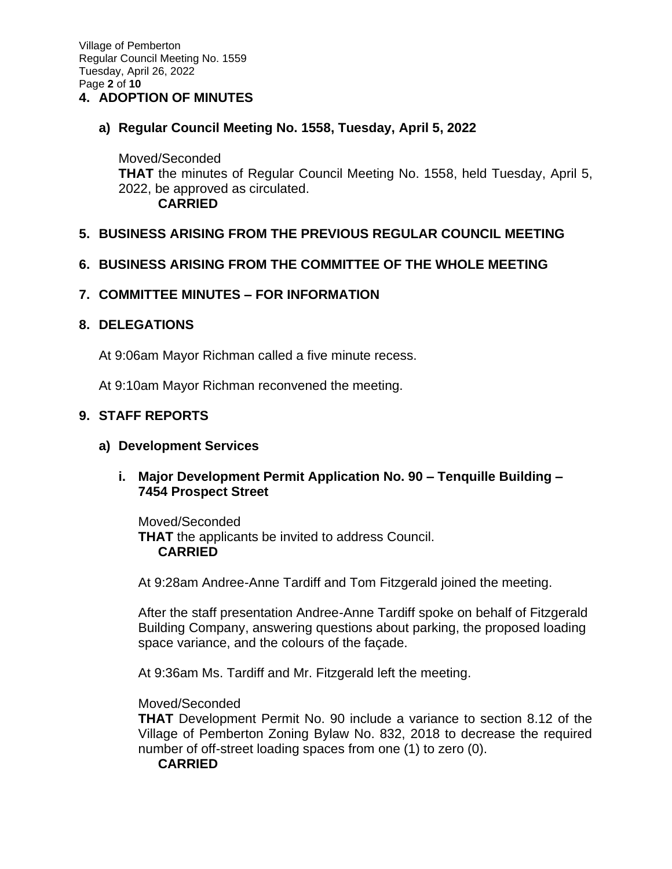Village of Pemberton Regular Council Meeting No. 1559 Tuesday, April 26, 2022 Page **2** of **10**

## **4. ADOPTION OF MINUTES**

#### **a) Regular Council Meeting No. 1558, Tuesday, April 5, 2022**

Moved/Seconded **THAT** the minutes of Regular Council Meeting No. 1558, held Tuesday, April 5, 2022, be approved as circulated. **CARRIED**

## **5. BUSINESS ARISING FROM THE PREVIOUS REGULAR COUNCIL MEETING**

## **6. BUSINESS ARISING FROM THE COMMITTEE OF THE WHOLE MEETING**

## **7. COMMITTEE MINUTES – FOR INFORMATION**

#### **8. DELEGATIONS**

At 9:06am Mayor Richman called a five minute recess.

At 9:10am Mayor Richman reconvened the meeting.

# **9. STAFF REPORTS**

#### **a) Development Services**

# **i. Major Development Permit Application No. 90 – Tenquille Building – 7454 Prospect Street**

Moved/Seconded **THAT** the applicants be invited to address Council. **CARRIED**

At 9:28am Andree-Anne Tardiff and Tom Fitzgerald joined the meeting.

After the staff presentation Andree-Anne Tardiff spoke on behalf of Fitzgerald Building Company, answering questions about parking, the proposed loading space variance, and the colours of the façade.

At 9:36am Ms. Tardiff and Mr. Fitzgerald left the meeting.

#### Moved/Seconded

**THAT** Development Permit No. 90 include a variance to section 8.12 of the Village of Pemberton Zoning Bylaw No. 832, 2018 to decrease the required number of off-street loading spaces from one (1) to zero (0).

#### **CARRIED**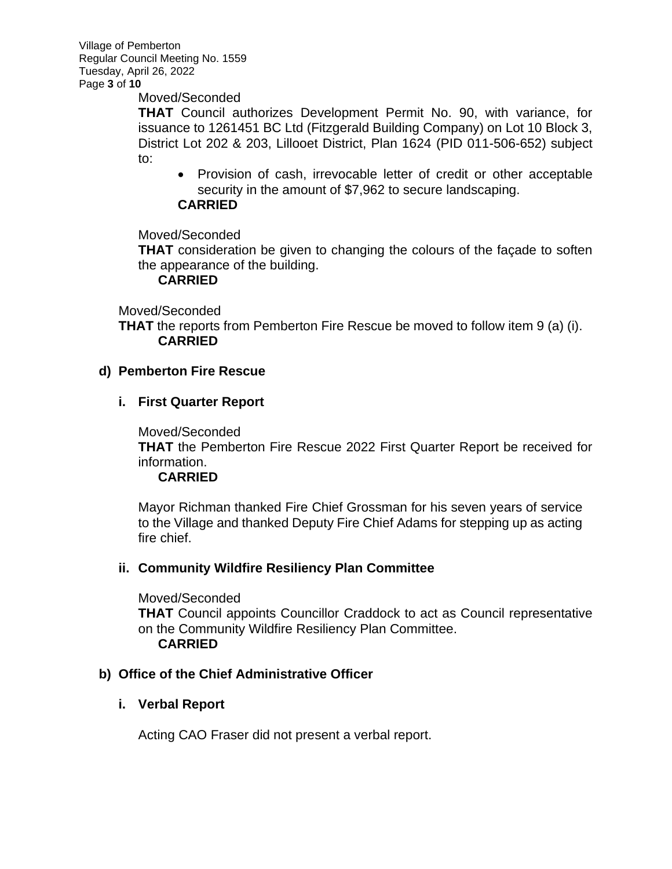Village of Pemberton Regular Council Meeting No. 1559 Tuesday, April 26, 2022 Page **3** of **10**

#### Moved/Seconded

**THAT** Council authorizes Development Permit No. 90, with variance, for issuance to 1261451 BC Ltd (Fitzgerald Building Company) on Lot 10 Block 3, District Lot 202 & 203, Lillooet District, Plan 1624 (PID 011-506-652) subject to:

• Provision of cash, irrevocable letter of credit or other acceptable security in the amount of \$7,962 to secure landscaping.

## **CARRIED**

## Moved/Seconded

**THAT** consideration be given to changing the colours of the façade to soften the appearance of the building.

## **CARRIED**

Moved/Seconded

**THAT** the reports from Pemberton Fire Rescue be moved to follow item 9 (a) (i). **CARRIED**

## **d) Pemberton Fire Rescue**

## **i. First Quarter Report**

Moved/Seconded

**THAT** the Pemberton Fire Rescue 2022 First Quarter Report be received for information.

# **CARRIED**

Mayor Richman thanked Fire Chief Grossman for his seven years of service to the Village and thanked Deputy Fire Chief Adams for stepping up as acting fire chief.

#### **ii. Community Wildfire Resiliency Plan Committee**

Moved/Seconded **THAT** Council appoints Councillor Craddock to act as Council representative on the Community Wildfire Resiliency Plan Committee. **CARRIED**

#### **b) Office of the Chief Administrative Officer**

# **i. Verbal Report**

Acting CAO Fraser did not present a verbal report.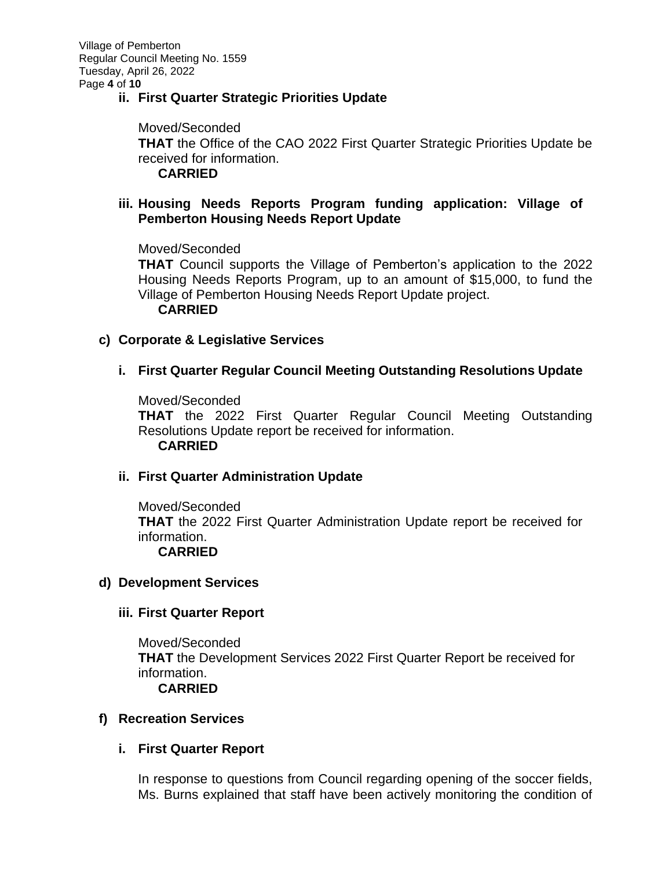# **ii. First Quarter Strategic Priorities Update**

Moved/Seconded **THAT** the Office of the CAO 2022 First Quarter Strategic Priorities Update be received for information. **CARRIED**

# **iii. Housing Needs Reports Program funding application: Village of Pemberton Housing Needs Report Update**

Moved/Seconded

**THAT** Council supports the Village of Pemberton's application to the 2022 Housing Needs Reports Program, up to an amount of \$15,000, to fund the Village of Pemberton Housing Needs Report Update project.

## **CARRIED**

## **c) Corporate & Legislative Services**

**i. First Quarter Regular Council Meeting Outstanding Resolutions Update**

Moved/Seconded

**THAT** the 2022 First Quarter Regular Council Meeting Outstanding Resolutions Update report be received for information. **CARRIED**

# **ii. First Quarter Administration Update**

Moved/Seconded **THAT** the 2022 First Quarter Administration Update report be received for information. **CARRIED**

#### **d) Development Services**

# **iii. First Quarter Report**

Moved/Seconded **THAT** the Development Services 2022 First Quarter Report be received for information. **CARRIED**

#### **f) Recreation Services**

# **i. First Quarter Report**

In response to questions from Council regarding opening of the soccer fields, Ms. Burns explained that staff have been actively monitoring the condition of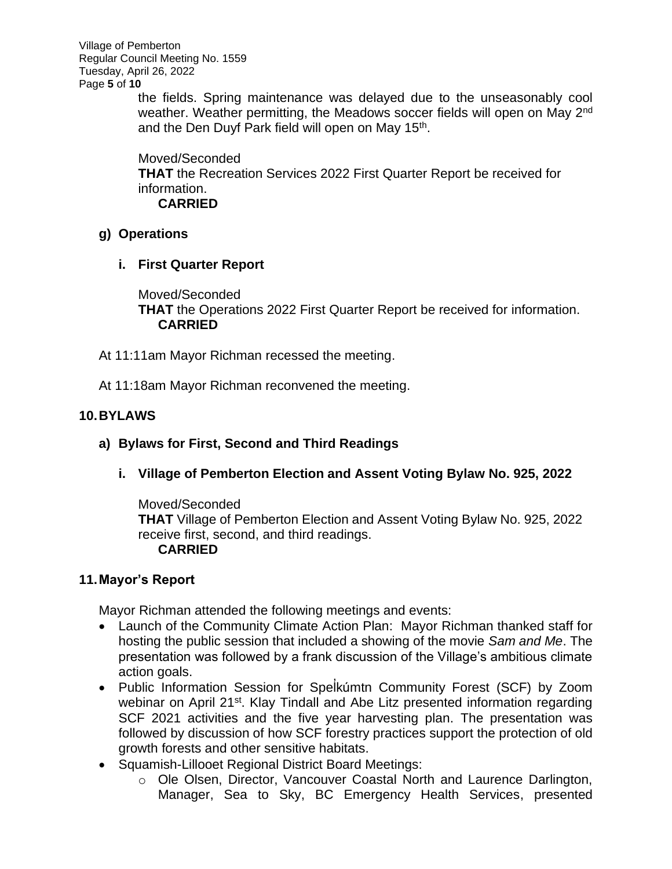Village of Pemberton Regular Council Meeting No. 1559 Tuesday, April 26, 2022 Page **5** of **10**

the fields. Spring maintenance was delayed due to the unseasonably cool weather. Weather permitting, the Meadows soccer fields will open on May 2<sup>nd</sup> and the Den Duyf Park field will open on May 15<sup>th</sup>.

Moved/Seconded **THAT** the Recreation Services 2022 First Quarter Report be received for information. **CARRIED**

# **g) Operations**

**i. First Quarter Report** 

Moved/Seconded **THAT** the Operations 2022 First Quarter Report be received for information. **CARRIED**

- At 11:11am Mayor Richman recessed the meeting.
- At 11:18am Mayor Richman reconvened the meeting.

# **10.BYLAWS**

# **a) Bylaws for First, Second and Third Readings**

**i. Village of Pemberton Election and Assent Voting Bylaw No. 925, 2022**

Moved/Seconded **THAT** Village of Pemberton Election and Assent Voting Bylaw No. 925, 2022 receive first, second, and third readings. **CARRIED**

# **11.Mayor's Report**

Mayor Richman attended the following meetings and events:

- Launch of the Community Climate Action Plan: Mayor Richman thanked staff for hosting the public session that included a showing of the movie *Sam and Me*. The presentation was followed by a frank discussion of the Village's ambitious climate action goals.
- Public Information Session for Spel ̓kúmtn Community Forest (SCF) by Zoom webinar on April 21<sup>st</sup>. Klay Tindall and Abe Litz presented information regarding SCF 2021 activities and the five year harvesting plan. The presentation was followed by discussion of how SCF forestry practices support the protection of old growth forests and other sensitive habitats.
- Squamish-Lillooet Regional District Board Meetings:
	- o Ole Olsen, Director, Vancouver Coastal North and Laurence Darlington, Manager, Sea to Sky, BC Emergency Health Services, presented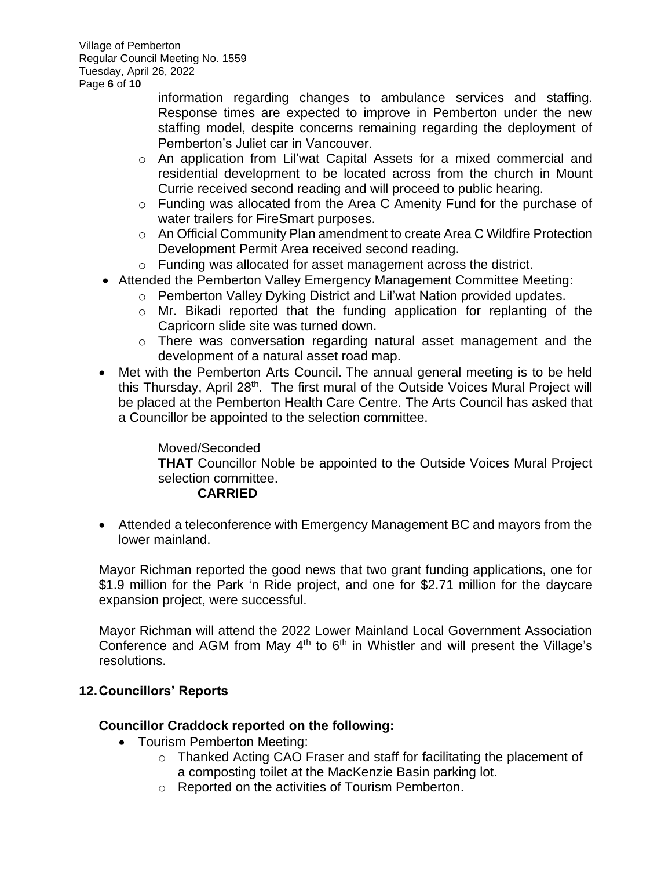Village of Pemberton Regular Council Meeting No. 1559 Tuesday, April 26, 2022 Page **6** of **10**

> information regarding changes to ambulance services and staffing. Response times are expected to improve in Pemberton under the new staffing model, despite concerns remaining regarding the deployment of Pemberton's Juliet car in Vancouver.

- o An application from Lil'wat Capital Assets for a mixed commercial and residential development to be located across from the church in Mount Currie received second reading and will proceed to public hearing.
- o Funding was allocated from the Area C Amenity Fund for the purchase of water trailers for FireSmart purposes.
- o An Official Community Plan amendment to create Area C Wildfire Protection Development Permit Area received second reading.
- o Funding was allocated for asset management across the district.
- Attended the Pemberton Valley Emergency Management Committee Meeting:
	- o Pemberton Valley Dyking District and Lil'wat Nation provided updates.
	- o Mr. Bikadi reported that the funding application for replanting of the Capricorn slide site was turned down.
	- o There was conversation regarding natural asset management and the development of a natural asset road map.
- Met with the Pemberton Arts Council. The annual general meeting is to be held this Thursday, April 28<sup>th</sup>. The first mural of the Outside Voices Mural Project will be placed at the Pemberton Health Care Centre. The Arts Council has asked that a Councillor be appointed to the selection committee.

Moved/Seconded **THAT** Councillor Noble be appointed to the Outside Voices Mural Project selection committee. **CARRIED**

• Attended a teleconference with Emergency Management BC and mayors from the lower mainland.

Mayor Richman reported the good news that two grant funding applications, one for \$1.9 million for the Park 'n Ride project, and one for \$2.71 million for the daycare expansion project, were successful.

Mayor Richman will attend the 2022 Lower Mainland Local Government Association Conference and AGM from May  $4<sup>th</sup>$  to  $6<sup>th</sup>$  in Whistler and will present the Village's resolutions.

# **12.Councillors' Reports**

# **Councillor Craddock reported on the following:**

- Tourism Pemberton Meeting:
	- o Thanked Acting CAO Fraser and staff for facilitating the placement of a composting toilet at the MacKenzie Basin parking lot.
	- o Reported on the activities of Tourism Pemberton.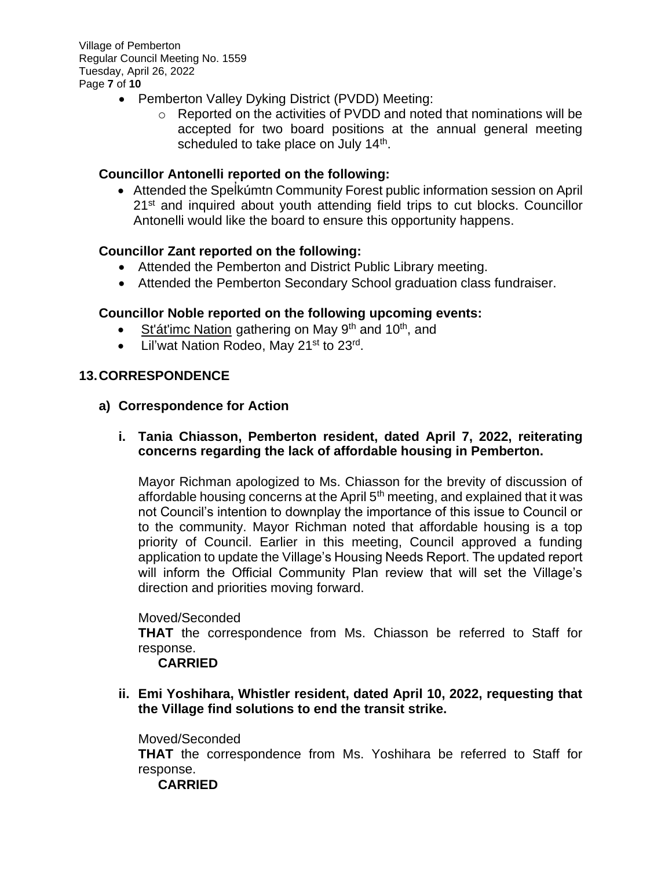Village of Pemberton Regular Council Meeting No. 1559 Tuesday, April 26, 2022 Page **7** of **10**

- Pemberton Valley Dyking District (PVDD) Meeting:
	- $\circ$  Reported on the activities of PVDD and noted that nominations will be accepted for two board positions at the annual general meeting scheduled to take place on July 14<sup>th</sup>.

## **Councillor Antonelli reported on the following:**

• Attended the Spelkumtn Community Forest public information session on April 21<sup>st</sup> and inquired about youth attending field trips to cut blocks. Councillor Antonelli would like the board to ensure this opportunity happens.

#### **Councillor Zant reported on the following:**

- Attended the Pemberton and District Public Library meeting.
- Attended the Pemberton Secondary School graduation class fundraiser.

## **Councillor Noble reported on the following upcoming events:**

- St'at'imc Nation gathering on May 9<sup>th</sup> and 10<sup>th</sup>, and
- Lil'wat Nation Rodeo, May 21<sup>st</sup> to 23<sup>rd</sup>.

## **13.CORRESPONDENCE**

**a) Correspondence for Action**

## **i. Tania Chiasson, Pemberton resident, dated April 7, 2022, reiterating concerns regarding the lack of affordable housing in Pemberton.**

Mayor Richman apologized to Ms. Chiasson for the brevity of discussion of affordable housing concerns at the April  $5<sup>th</sup>$  meeting, and explained that it was not Council's intention to downplay the importance of this issue to Council or to the community. Mayor Richman noted that affordable housing is a top priority of Council. Earlier in this meeting, Council approved a funding application to update the Village's Housing Needs Report. The updated report will inform the Official Community Plan review that will set the Village's direction and priorities moving forward.

#### Moved/Seconded

**THAT** the correspondence from Ms. Chiasson be referred to Staff for response.

#### **CARRIED**

**ii. Emi Yoshihara, Whistler resident, dated April 10, 2022, requesting that the Village find solutions to end the transit strike.** 

#### Moved/Seconded

**THAT** the correspondence from Ms. Yoshihara be referred to Staff for response.

**CARRIED**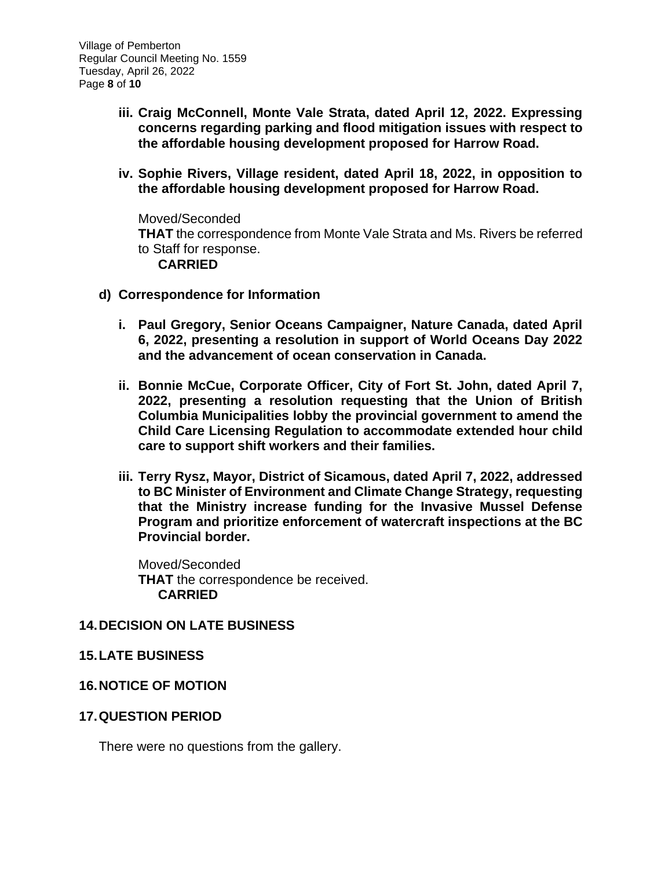- **iii. Craig McConnell, Monte Vale Strata, dated April 12, 2022. Expressing concerns regarding parking and flood mitigation issues with respect to the affordable housing development proposed for Harrow Road.**
- **iv. Sophie Rivers, Village resident, dated April 18, 2022, in opposition to the affordable housing development proposed for Harrow Road.**

Moved/Seconded **THAT** the correspondence from Monte Vale Strata and Ms. Rivers be referred to Staff for response. **CARRIED**

- **d) Correspondence for Information**
	- **i. Paul Gregory, Senior Oceans Campaigner, Nature Canada, dated April 6, 2022, presenting a resolution in support of World Oceans Day 2022 and the advancement of ocean conservation in Canada.**
	- **ii. Bonnie McCue, Corporate Officer, City of Fort St. John, dated April 7, 2022, presenting a resolution requesting that the Union of British Columbia Municipalities lobby the provincial government to amend the Child Care Licensing Regulation to accommodate extended hour child care to support shift workers and their families.**
	- **iii. Terry Rysz, Mayor, District of Sicamous, dated April 7, 2022, addressed to BC Minister of Environment and Climate Change Strategy, requesting that the Ministry increase funding for the Invasive Mussel Defense Program and prioritize enforcement of watercraft inspections at the BC Provincial border.**

Moved/Seconded **THAT** the correspondence be received. **CARRIED**

# **14.DECISION ON LATE BUSINESS**

# **15.LATE BUSINESS**

# **16.NOTICE OF MOTION**

#### **17.QUESTION PERIOD**

There were no questions from the gallery.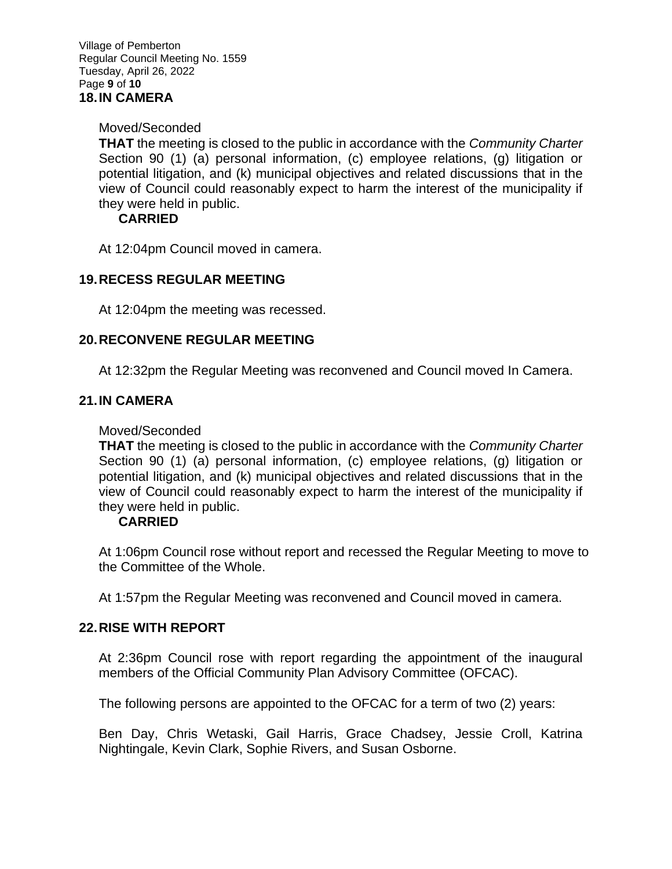## Moved/Seconded

**THAT** the meeting is closed to the public in accordance with the *Community Charter* Section 90 (1) (a) personal information, (c) employee relations, (g) litigation or potential litigation, and (k) municipal objectives and related discussions that in the view of Council could reasonably expect to harm the interest of the municipality if they were held in public.

# **CARRIED**

At 12:04pm Council moved in camera.

# **19.RECESS REGULAR MEETING**

At 12:04pm the meeting was recessed.

# **20.RECONVENE REGULAR MEETING**

At 12:32pm the Regular Meeting was reconvened and Council moved In Camera.

# **21.IN CAMERA**

#### Moved/Seconded

**THAT** the meeting is closed to the public in accordance with the *Community Charter* Section 90 (1) (a) personal information, (c) employee relations, (g) litigation or potential litigation, and (k) municipal objectives and related discussions that in the view of Council could reasonably expect to harm the interest of the municipality if they were held in public.

# **CARRIED**

At 1:06pm Council rose without report and recessed the Regular Meeting to move to the Committee of the Whole.

At 1:57pm the Regular Meeting was reconvened and Council moved in camera.

# **22.RISE WITH REPORT**

At 2:36pm Council rose with report regarding the appointment of the inaugural members of the Official Community Plan Advisory Committee (OFCAC).

The following persons are appointed to the OFCAC for a term of two (2) years:

Ben Day, Chris Wetaski, Gail Harris, Grace Chadsey, Jessie Croll, Katrina Nightingale, Kevin Clark, Sophie Rivers, and Susan Osborne.